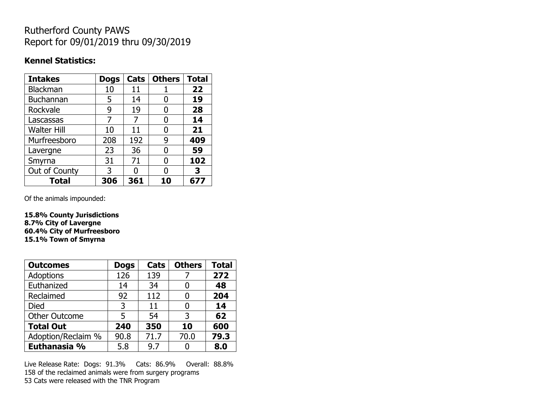# Rutherford County PAWS Report for 09/01/2019 thru 09/30/2019

#### **Kennel Statistics:**

| <b>Intakes</b>     | <b>Dogs</b> | Cats | <b>Others</b> | <b>Total</b> |
|--------------------|-------------|------|---------------|--------------|
| Blackman           | 10          | 11   |               | 22           |
| <b>Buchannan</b>   | 5           | 14   | 0             | 19           |
| Rockvale           | 9           | 19   |               | 28           |
| Lascassas          |             | 7    | 0             | 14           |
| <b>Walter Hill</b> | 10          | 11   | O             | 21           |
| Murfreesboro       | 208         | 192  | 9             | 409          |
| Lavergne           | 23          | 36   | O             | 59           |
| Smyrna             | 31          | 71   | O             | 102          |
| Out of County      | 3           | O    |               | 3            |
| <b>Total</b>       | 306         | 361  | 10            | 677          |

Of the animals impounded:

**15.8% County Jurisdictions 8.7% City of Lavergne 60.4% City of Murfreesboro 15.1% Town of Smyrna**

| <b>Outcomes</b>      | <b>Dogs</b> | Cats | <b>Others</b> | <b>Total</b> |
|----------------------|-------------|------|---------------|--------------|
| Adoptions            | 126         | 139  |               | 272          |
| Euthanized           | 14          | 34   |               | 48           |
| Reclaimed            | 92          | 112  |               | 204          |
| Died                 | 3           | 11   |               | 14           |
| <b>Other Outcome</b> | 5           | 54   | 3             | 62           |
| <b>Total Out</b>     | 240         | 350  | 10            | 600          |
| Adoption/Reclaim %   | 90.8        | 71.7 | 70.0          | 79.3         |
| Euthanasia %         | 5.8         | 9.7  |               | 8.0          |

Live Release Rate: Dogs: 91.3% Cats: 86.9% Overall: 88.8% 158 of the reclaimed animals were from surgery programs 53 Cats were released with the TNR Program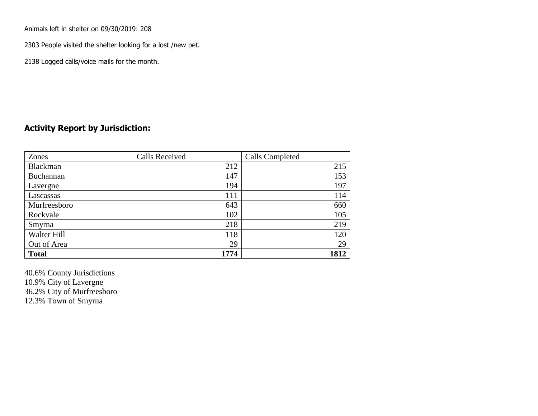Animals left in shelter on 09/30/2019: 208

2303 People visited the shelter looking for a lost /new pet.

2138 Logged calls/voice mails for the month.

### **Activity Report by Jurisdiction:**

| Zones           | <b>Calls Received</b> | Calls Completed |
|-----------------|-----------------------|-----------------|
| <b>Blackman</b> | 212                   | 215             |
| Buchannan       | 147                   | 153             |
| Lavergne        | 194                   | 197             |
| Lascassas       | 111                   | 114             |
| Murfreesboro    | 643                   | 660             |
| Rockvale        | 102                   | 105             |
| Smyrna          | 218                   | 219             |
| Walter Hill     | 118                   | 120             |
| Out of Area     | 29                    | 29              |
| <b>Total</b>    | 1774                  | 1812            |

40.6% County Jurisdictions 10.9% City of Lavergne 36.2% City of Murfreesboro 12.3% Town of Smyrna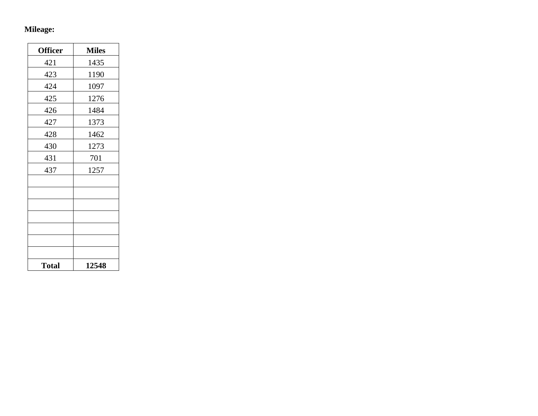## **Mileage:**

| <b>Officer</b> | <b>Miles</b> |
|----------------|--------------|
| 421            | 1435         |
| 423            | 1190         |
| 424            | 1097         |
| 425            | 1276         |
| 426            | 1484         |
| 427            | 1373         |
| 428            | 1462         |
| 430            | 1273         |
| 431            | 701          |
| 437            | 1257         |
|                |              |
|                |              |
|                |              |
|                |              |
|                |              |
|                |              |
|                |              |
| <b>Total</b>   | 12548        |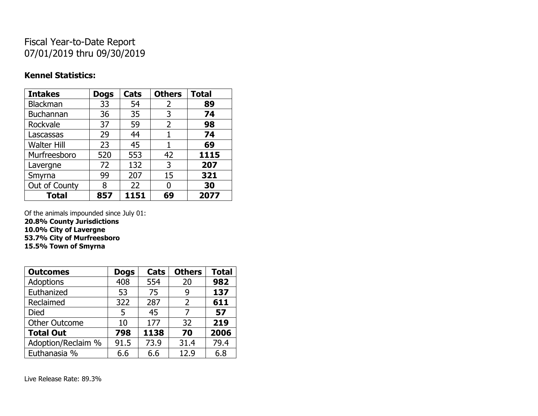# Fiscal Year-to-Date Report 07/01/2019 thru 09/30/2019

### **Kennel Statistics:**

| <b>Intakes</b>     | <b>Dogs</b> | Cats | <b>Others</b> | <b>Total</b> |
|--------------------|-------------|------|---------------|--------------|
| Blackman           | 33          | 54   | 2             | 89           |
| Buchannan          | 36          | 35   | 3             | 74           |
| Rockvale           | 37          | 59   | 2             | 98           |
| Lascassas          | 29          | 44   | 1             | 74           |
| <b>Walter Hill</b> | 23          | 45   | 1             | 69           |
| Murfreesboro       | 520         | 553  | 42            | 1115         |
| Lavergne           | 72          | 132  | 3             | 207          |
| Smyrna             | 99          | 207  | 15            | 321          |
| Out of County      | 8           | 22   | 0             | 30           |
| <b>Total</b>       | 857         | 1151 | 69            | 2077         |

Of the animals impounded since July 01:

**20.8% County Jurisdictions 10.0% City of Lavergne 53.7% City of Murfreesboro**

**15.5% Town of Smyrna**

| <b>Outcomes</b>      | <b>Dogs</b> | Cats | <b>Others</b>  | <b>Total</b> |
|----------------------|-------------|------|----------------|--------------|
| <b>Adoptions</b>     | 408         | 554  | 20             | 982          |
| Euthanized           | 53          | 75   | 9              | 137          |
| Reclaimed            | 322         | 287  | $\overline{2}$ | 611          |
| Died                 | 5           | 45   | 7              | 57           |
| <b>Other Outcome</b> | 10          | 177  | 32             | 219          |
| <b>Total Out</b>     | 798         | 1138 | 70             | 2006         |
| Adoption/Reclaim %   | 91.5        | 73.9 | 31.4           | 79.4         |
| Euthanasia %         | 6.6         | 6.6  | 12.9           | 6.8          |

Live Release Rate: 89.3%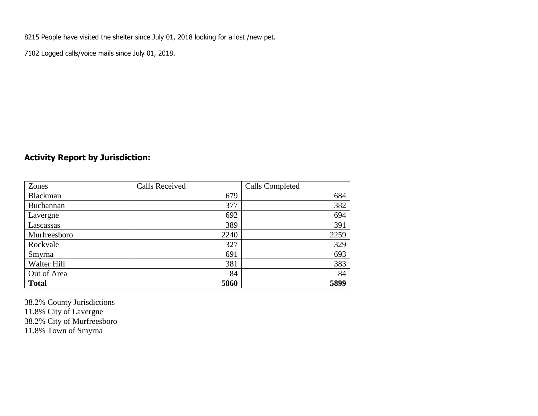8215 People have visited the shelter since July 01, 2018 looking for a lost /new pet.

7102 Logged calls/voice mails since July 01, 2018.

## **Activity Report by Jurisdiction:**

| Zones        | <b>Calls Received</b> | <b>Calls Completed</b> |
|--------------|-----------------------|------------------------|
| Blackman     | 679                   | 684                    |
| Buchannan    | 377                   | 382                    |
| Lavergne     | 692                   | 694                    |
| Lascassas    | 389                   | 391                    |
| Murfreesboro | 2240                  | 2259                   |
| Rockvale     | 327                   | 329                    |
| Smyrna       | 691                   | 693                    |
| Walter Hill  | 381                   | 383                    |
| Out of Area  | 84                    | 84                     |
| <b>Total</b> | 5860                  | 5899                   |

38.2% County Jurisdictions 11.8% City of Lavergne 38.2% City of Murfreesboro 11.8% Town of Smyrna